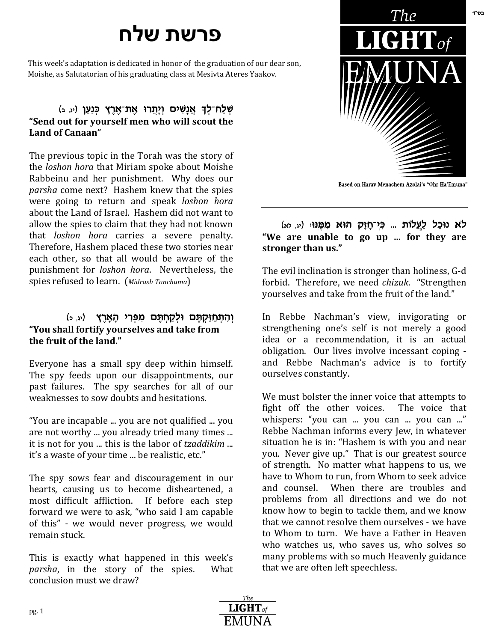## **פרשת שלח**

This week's adaptation is dedicated in honor of the graduation of our dear son, Moishe, as Salutatorian of his graduating class at Mesivta Ateres Yaakov.

## **ְשְׁלַח־לִךְ אֲנָשִׁים וְיָהֲרוּ אֶת־אֶרֶץ כְּנַעַן (<sub>יג, ב</sub>) "Send out for yourself men who will scout the Land of Canaan"**

The previous topic in the Torah was the story of the *loshon hora* that Miriam spoke about Moishe Rabbeinu and her punishment. Why does our *parsha* come next? Hashem knew that the spies were going to return and speak *loshon hora* about the Land of Israel. Hashem did not want to allow the spies to claim that they had not known that *loshon hora* carries a severe penalty. Therefore, Hashem placed these two stories near each other, so that all would be aware of the punishment for *loshon hora*. Nevertheless, the spies refused to learn. (*Midrash Tanchuma*)

## **(הִתְחַיַּקְתֵּם וּלְקַחְתֵּם מִפְּרִי הָאָרֵץ** (יג, כּ) **"You shall fortify yourselves and take from the fruit of the land."**

Everyone has a small spy deep within himself. The spy feeds upon our disappointments, our past failures. The spy searches for all of our weaknesses to sow doubts and hesitations.

"You are incapable ... you are not qualified ... you are not worthy ... you already tried many times ... it is not for you ... this is the labor of *tzaddikim* ... it's a waste of your time ... be realistic, etc."

The spy sows fear and discouragement in our hearts, causing us to become disheartened, a most difficult affliction. If before each step forward we were to ask, "who said I am capable of this" - we would never progress, we would remain stuck.

This is exactly what happened in this week's *parsha*, in the story of the spies. What conclusion must we draw?



Based on Harav Menachem Azolai's "Ohr Ha'Emuna"

## **לֹא נוּכַל לַעֲלוֹת ... כְּי־חָזָק הוּא מִמֶּנוּ:** (יג, לא) **"We are unable to go up ... for they are stronger than us."**

The evil inclination is stronger than holiness, G-d forbid. Therefore, we need *chizuk*. "Strengthen yourselves and take from the fruit of the land."

In Rebbe Nachman's view, invigorating or strengthening one's self is not merely a good idea or a recommendation, it is an actual obligation. Our lives involve incessant coping and Rebbe Nachman's advice is to fortify ourselves constantly.

We must bolster the inner voice that attempts to fight off the other voices. The voice that whispers: "you can ... you can ... you can ..." Rebbe Nachman informs every Jew, in whatever situation he is in: "Hashem is with you and near you. Never give up." That is our greatest source of strength. No matter what happens to us, we have to Whom to run, from Whom to seek advice and counsel. When there are troubles and problems from all directions and we do not know how to begin to tackle them, and we know that we cannot resolve them ourselves - we have to Whom to turn. We have a Father in Heaven who watches us, who saves us, who solves so many problems with so much Heavenly guidance that we are often left speechless.



בס"ד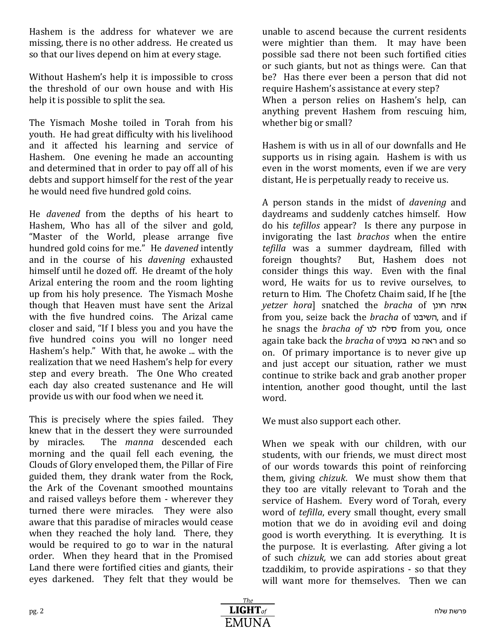Hashem is the address for whatever we are missing, there is no other address. He created us so that our lives depend on him at every stage.

Without Hashem's help it is impossible to cross the threshold of our own house and with His help it is possible to split the sea.

The Yismach Moshe toiled in Torah from his youth. He had great difficulty with his livelihood and it affected his learning and service of Hashem. One evening he made an accounting and determined that in order to pay off all of his debts and support himself for the rest of the year he would need five hundred gold coins.

He *davened* from the depths of his heart to Hashem, Who has all of the silver and gold, "Master of the World, please arrange five hundred gold coins for me." He *davened* intently and in the course of his *davening* exhausted himself until he dozed off. He dreamt of the holy Arizal entering the room and the room lighting up from his holy presence. The Yismach Moshe though that Heaven must have sent the Arizal with the five hundred coins. The Arizal came closer and said, "If I bless you and you have the five hundred coins you will no longer need Hashem's help." With that, he awoke ... with the realization that we need Hashem's help for every step and every breath. The One Who created each day also created sustenance and He will provide us with our food when we need it.

This is precisely where the spies failed. They knew that in the dessert they were surrounded by miracles. The *manna* descended each morning and the quail fell each evening, the Clouds of Glory enveloped them, the Pillar of Fire guided them, they drank water from the Rock, the Ark of the Covenant smoothed mountains and raised valleys before them - wherever they turned there were miracles. They were also aware that this paradise of miracles would cease when they reached the holy land. There, they would be required to go to war in the natural order. When they heard that in the Promised Land there were fortified cities and giants, their eyes darkened. They felt that they would be

unable to ascend because the current residents were mightier than them. It may have been possible sad there not been such fortified cities or such giants, but not as things were. Can that be? Has there ever been a person that did not require Hashem's assistance at every step?

When a person relies on Hashem's help, can anything prevent Hashem from rescuing him, whether big or small?

Hashem is with us in all of our downfalls and He supports us in rising again. Hashem is with us even in the worst moments, even if we are very distant, He is perpetually ready to receive us.

A person stands in the midst of *davening* and daydreams and suddenly catches himself. How do his *tefillos* appear? Is there any purpose in invigorating the last *brachos* when the entire *tefilla* was a summer daydream, filled with foreign thoughts? But, Hashem does not consider things this way. Even with the final word, He waits for us to revive ourselves, to return to Him. The Chofetz Chaim said, If he [the *yetzer hora*] snatched the *bracha* of ibuj v,t from you, seize back the *bracha* of השיבנו, and if he snags the *bracha of* ubk jkx from you*,* once again take back the *bracha* of ראה נא בענינו on. Of primary importance is to never give up and just accept our situation, rather we must continue to strike back and grab another proper intention, another good thought, until the last word.

We must also support each other.

When we speak with our children, with our students, with our friends, we must direct most of our words towards this point of reinforcing them, giving *chizuk*. We must show them that they too are vitally relevant to Torah and the service of Hashem. Every word of Torah, every word of *tefilla*, every small thought, every small motion that we do in avoiding evil and doing good is worth everything. It is everything. It is the purpose. It is everlasting. After giving a lot of such *chizuk,* we can add stories about great tzaddikim, to provide aspirations - so that they will want more for themselves. Then we can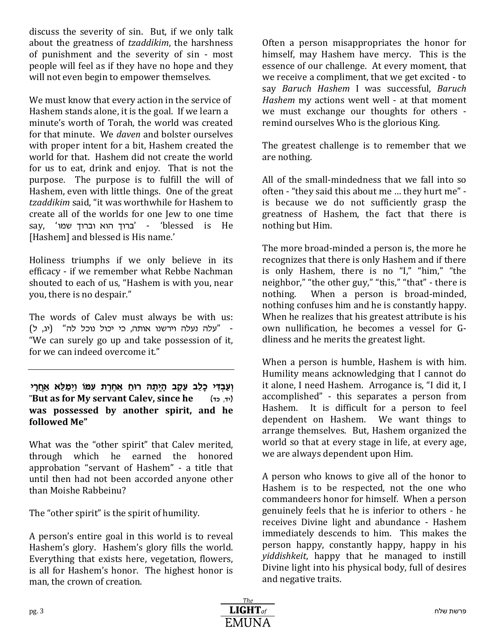discuss the severity of sin. But, if we only talk about the greatness of *tzaddikim*, the harshness of punishment and the severity of sin - most people will feel as if they have no hope and they will not even begin to empower themselves.

We must know that every action in the service of Hashem stands alone, it is the goal. If we learn a minute's worth of Torah, the world was created for that minute. We *daven* and bolster ourselves with proper intent for a bit, Hashem created the world for that. Hashem did not create the world for us to eat, drink and enjoy. That is not the purpose. The purpose is to fulfill the will of Hashem, even with little things. One of the great *tzaddikim* said, "it was worthwhile for Hashem to create all of the worlds for one Jew to one time say, 'ברוך הוא וברוך שמו' - 'blessed is He [Hashem] and blessed is His name.'

Holiness triumphs if we only believe in its efficacy - if we remember what Rebbe Nachman shouted to each of us, "Hashem is with you, near you, there is no despair."

The words of Calev must always be with us: עלה נעלה וירשנו אותה, כי יכול נוכל לה" (יג, ל)<sup>-</sup> "We can surely go up and take possession of it, for we can indeed overcome it."

**וְעֲבִדִּי כָלֵב עֶקֶב הַיֶּתַה רוּחַ אַחֶרֶת עִמּוֹ וַיִּמַלֵּא אַחֲרֵי** "**But as for My servant Calev, since he**  $(r, r)$ **was possessed by another spirit, and he followed Me"**

What was the "other spirit" that Calev merited, through which he earned the honored approbation "servant of Hashem" - a title that until then had not been accorded anyone other than Moishe Rabbeinu?

The "other spirit" is the spirit of humility.

A person's entire goal in this world is to reveal Hashem's glory. Hashem's glory fills the world. Everything that exists here, vegetation, flowers, is all for Hashem's honor. The highest honor is man, the crown of creation.

Often a person misappropriates the honor for himself, may Hashem have mercy. This is the essence of our challenge. At every moment, that we receive a compliment, that we get excited - to say *Baruch Hashem* I was successful, *Baruch Hashem* my actions went well - at that moment we must exchange our thoughts for others remind ourselves Who is the glorious King.

The greatest challenge is to remember that we are nothing.

All of the small-mindedness that we fall into so often - "they said this about me … they hurt me" is because we do not sufficiently grasp the greatness of Hashem, the fact that there is nothing but Him.

The more broad-minded a person is, the more he recognizes that there is only Hashem and if there is only Hashem, there is no "I," "him," "the neighbor," "the other guy," "this," "that" - there is nothing. When a person is broad-minded, nothing confuses him and he is constantly happy. When he realizes that his greatest attribute is his own nullification, he becomes a vessel for Gdliness and he merits the greatest light.

When a person is humble, Hashem is with him. Humility means acknowledging that I cannot do it alone, I need Hashem. Arrogance is, "I did it, I accomplished" - this separates a person from Hashem. It is difficult for a person to feel dependent on Hashem. We want things to arrange themselves. But, Hashem organized the world so that at every stage in life, at every age, we are always dependent upon Him.

A person who knows to give all of the honor to Hashem is to be respected, not the one who commandeers honor for himself. When a person genuinely feels that he is inferior to others - he receives Divine light and abundance - Hashem immediately descends to him. This makes the person happy, constantly happy, happy in his *yiddishkeit*, happy that he managed to instill Divine light into his physical body, full of desires and negative traits.